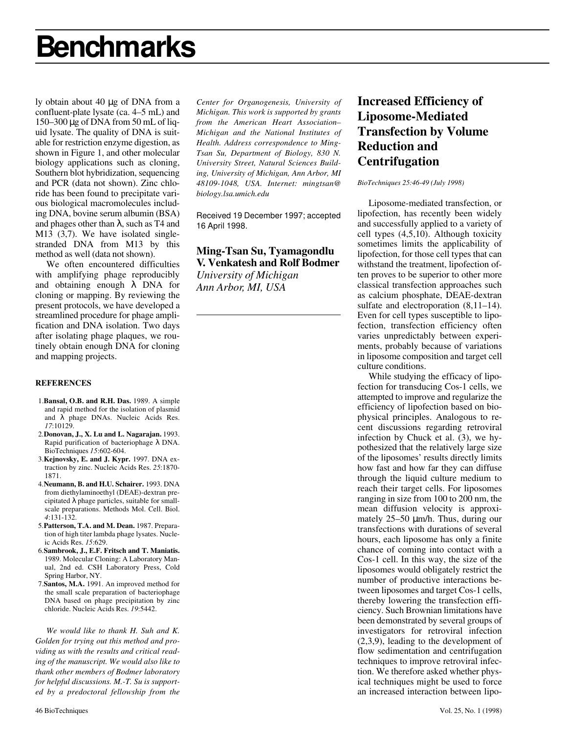# **Benchmarks**

ly obtain about 40 µg of DNA from a confluent-plate lysate (ca. 4–5 mL) and 150–300 µg of DNA from 50 mL of liquid lysate. The quality of DNA is suitable for restriction enzyme digestion, as shown in Figure 1, and other molecular biology applications such as cloning, Southern blot hybridization, sequencing and PCR (data not shown). Zinc chloride has been found to precipitate various biological macromolecules including DNA, bovine serum albumin (BSA) and phages other than  $\lambda$ , such as T4 and M13 (3,7). We have isolated singlestranded DNA from M13 by this method as well (data not shown).

We often encountered difficulties with amplifying phage reproducibly and obtaining enough λ DNA for cloning or mapping. By reviewing the present protocols, we have developed a streamlined procedure for phage amplification and DNA isolation. Two days after isolating phage plaques, we routinely obtain enough DNA for cloning and mapping projects.

#### **REFERENCES**

- 1.**Bansal, O.B. and R.H. Das.** 1989. A simple and rapid method for the isolation of plasmid and λ phage DNAs. Nucleic Acids Res. *17*:10129.
- 2.**Donovan, J., X. Lu and L. Nagarajan.** 1993. Rapid purification of bacteriophage λ DNA. BioTechniques *15*:602-604.
- 3.**Kejnovsky, E. and J. Kypr.** 1997. DNA extraction by zinc. Nucleic Acids Res. *25*:1870- 1871.
- 4.**Neumann, B. and H.U. Schairer.** 1993. DNA from diethylaminoethyl (DEAE)-dextran precipitated λ phage particles, suitable for smallscale preparations. Methods Mol. Cell. Biol. *4*:131-132.
- 5.**Patterson, T.A. and M. Dean.** 1987. Preparation of high titer lambda phage lysates. Nucleic Acids Res. *15*:629.
- 6.**Sambrook, J., E.F. Fritsch and T. Maniatis.** 1989. Molecular Cloning: A Laboratory Manual, 2nd ed. CSH Laboratory Press, Cold Spring Harbor, NY.
- 7.**Santos, M.A.** 1991. An improved method for the small scale preparation of bacteriophage DNA based on phage precipitation by zinc chloride. Nucleic Acids Res. *19*:5442.

*We would like to thank H. Suh and K. Golden for trying out this method and providing us with the results and critical reading of the manuscript. We would also like to thank other members of Bodmer laboratory for helpful discussions. M.-T. Su is supported by a predoctoral fellowship from the*

*Center for Organogenesis, University of Michigan. This work is supported by grants from the American Heart Association– Michigan and the National Institutes of Health. Address correspondence to Ming-Tsan Su, Department of Biology, 830 N. University Street, Natural Sciences Building, University of Michigan, Ann Arbor, MI 48109-1048, USA. Internet: mingtsan@ biology.lsa.umich.edu*

Received 19 December 1997; accepted 16 April 1998.

## **Ming-Tsan Su, Tyamagondlu V. Venkatesh and Rolf Bodmer**

*University of Michigan Ann Arbor, MI, USA*

# **Increased Efficiency of Liposome-Mediated Transfection by Volume Reduction and Centrifugation**

*BioTechniques 25:46-49 (July 1998)*

Liposome-mediated transfection, or lipofection, has recently been widely and successfully applied to a variety of cell types (4,5,10). Although toxicity sometimes limits the applicability of lipofection, for those cell types that can withstand the treatment, lipofection often proves to be superior to other more classical transfection approaches such as calcium phosphate, DEAE-dextran sulfate and electroporation  $(8,11–14)$ . Even for cell types susceptible to lipofection, transfection efficiency often varies unpredictably between experiments, probably because of variations in liposome composition and target cell culture conditions.

While studying the efficacy of lipofection for transducing Cos-1 cells, we attempted to improve and regularize the efficiency of lipofection based on biophysical principles. Analogous to recent discussions regarding retroviral infection by Chuck et al. (3), we hypothesized that the relatively large size of the liposomes' results directly limits how fast and how far they can diffuse through the liquid culture medium to reach their target cells. For liposomes ranging in size from 100 to 200 nm, the mean diffusion velocity is approximately 25–50  $\mu$ m/h. Thus, during our transfections with durations of several hours, each liposome has only a finite chance of coming into contact with a Cos-1 cell. In this way, the size of the liposomes would obligately restrict the number of productive interactions between liposomes and target Cos-1 cells, thereby lowering the transfection efficiency. Such Brownian limitations have been demonstrated by several groups of investigators for retroviral infection (2,3,9), leading to the development of flow sedimentation and centrifugation techniques to improve retroviral infection. We therefore asked whether physical techniques might be used to force an increased interaction between lipo-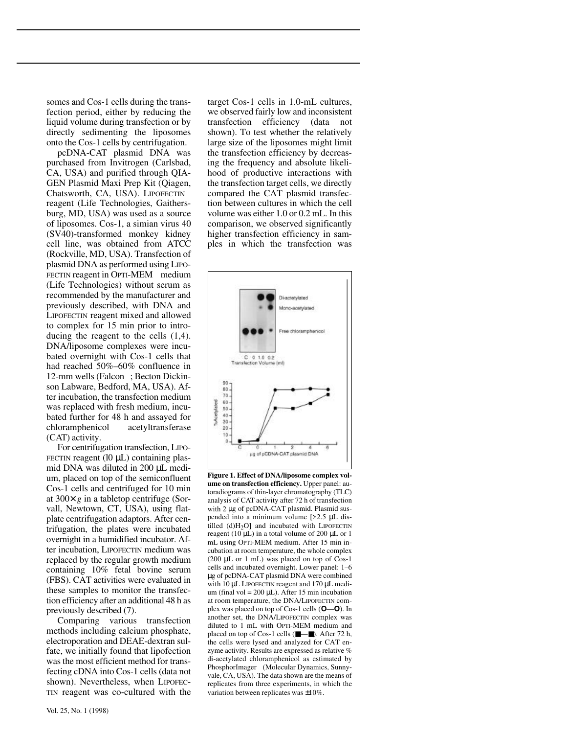somes and Cos-1 cells during the transfection period, either by reducing the liquid volume during transfection or by directly sedimenting the liposomes onto the Cos-1 cells by centrifugation.

pcDNA-CAT plasmid DNA was purchased from Invitrogen (Carlsbad, CA, USA) and purified through QIA-GEN Plasmid Maxi Prep Kit (Qiagen, Chatsworth, CA, USA). LIPOFECTIN<sup>®</sup> reagent (Life Technologies, Gaithersburg, MD, USA) was used as a source of liposomes. Cos-1, a simian virus 40 (SV40)-transformed monkey kidney cell line, was obtained from ATCC (Rockville, MD, USA). Transfection of plasmid DNA as performed using LIPO-FECTIN reagent in OPTI-MEM<sup>®</sup> medium (Life Technologies) without serum as recommended by the manufacturer and previously described, with DNA and LIPOFECTIN reagent mixed and allowed to complex for 15 min prior to introducing the reagent to the cells (1,4). DNA/liposome complexes were incubated overnight with Cos-1 cells that had reached 50%–60% confluence in 12-mm wells (Falcon®; Becton Dickinson Labware, Bedford, MA, USA). After incubation, the transfection medium was replaced with fresh medium, incubated further for 48 h and assayed for chloramphenicol acetyltransferase (CAT) activity.

For centrifugation transfection, LIPO-FECTIN reagent  $(10 \mu L)$  containing plasmid DNA was diluted in 200 µL medium, placed on top of the semiconfluent Cos-1 cells and centrifuged for 10 min at 300× *g* in a tabletop centrifuge (Sorvall, Newtown, CT, USA), using flatplate centrifugation adaptors. After centrifugation, the plates were incubated overnight in a humidified incubator. After incubation, LIPOFECTIN medium was replaced by the regular growth medium containing 10% fetal bovine serum (FBS). CAT activities were evaluated in these samples to monitor the transfection efficiency after an additional 48 h as previously described (7).

Comparing various transfection methods including calcium phosphate, electroporation and DEAE-dextran sulfate, we initially found that lipofection was the most efficient method for transfecting cDNA into Cos-1 cells (data not shown). Nevertheless, when LIPOFEC-TIN reagent was co-cultured with the target Cos-1 cells in 1.0-mL cultures, we observed fairly low and inconsistent transfection efficiency (data not shown). To test whether the relatively large size of the liposomes might limit the transfection efficiency by decreasing the frequency and absolute likelihood of productive interactions with the transfection target cells, we directly compared the CAT plasmid transfection between cultures in which the cell volume was either 1.0 or 0.2 mL. In this comparison, we observed significantly higher transfection efficiency in samples in which the transfection was



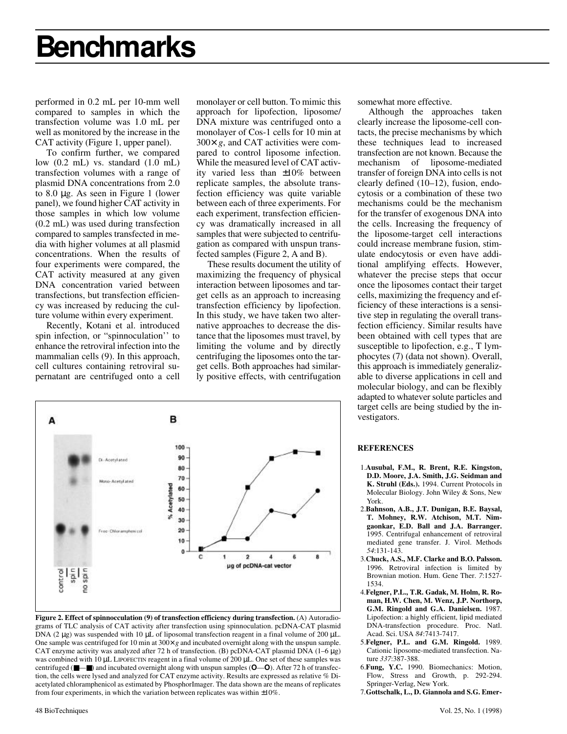# **Benchmarks**

performed in 0.2 mL per 10-mm well compared to samples in which the transfection volume was 1.0 mL per well as monitored by the increase in the CAT activity (Figure 1, upper panel).

To confirm further, we compared low (0.2 mL) vs. standard (1.0 mL) transfection volumes with a range of plasmid DNA concentrations from 2.0 to 8.0 µg. As seen in Figure 1 (lower panel), we found higher CAT activity in those samples in which low volume (0.2 mL) was used during transfection compared to samples transfected in media with higher volumes at all plasmid concentrations. When the results of four experiments were compared, the CAT activity measured at any given DNA concentration varied between transfections, but transfection efficiency was increased by reducing the culture volume within every experiment.

Recently, Kotani et al. introduced spin infection, or "spinnoculation'' to enhance the retroviral infection into the mammalian cells (9). In this approach, cell cultures containing retroviral supernatant are centrifuged onto a cell monolayer or cell button. To mimic this approach for lipofection, liposome/ DNA mixture was centrifuged onto a monolayer of Cos-1 cells for 10 min at 300× *g*, and CAT activities were compared to control liposome infection. While the measured level of CAT activity varied less than ±10% between replicate samples, the absolute transfection efficiency was quite variable between each of three experiments. For each experiment, transfection efficiency was dramatically increased in all samples that were subjected to centrifugation as compared with unspun transfected samples (Figure 2, A and B).

These results document the utility of maximizing the frequency of physical interaction between liposomes and target cells as an approach to increasing transfection efficiency by lipofection. In this study, we have taken two alternative approaches to decrease the distance that the liposomes must travel, by limiting the volume and by directly centrifuging the liposomes onto the target cells. Both approaches had similarly positive effects, with centrifugation



**Figure 2. Effect of spinnocculation (9) of transfection efficiency during transfection.** (A) Autoradiograms of TLC analysis of CAT activity after transfection using spinnoculation. pcDNA-CAT plasmid DNA (2  $\mu$ g) was suspended with 10  $\mu$ L of liposomal transfection reagent in a final volume of 200  $\mu$ L. One sample was centrifuged for 10 min at 300× *g* and incubated overnight along with the unspun sample. CAT enzyme activity was analyzed after 72 h of transfection. (B) pcDNA-CAT plasmid DNA  $(1-6 \mu g)$ was combined with 10 µL LIPOFECTIN reagent in a final volume of 200 µL. One set of these samples was centrifuged (■—■) and incubated overnight along with unspun samples (**O**—**O**). After 72 h of transfection, the cells were lysed and analyzed for CAT enzyme activity. Results are expressed as relative % Diacetylated chloramphenicol as estimated by PhosphorImager. The data shown are the means of replicates from four experiments, in which the variation between replicates was within ±10%.

somewhat more effective.

Although the approaches taken clearly increase the liposome-cell contacts, the precise mechanisms by which these techniques lead to increased transfection are not known. Because the mechanism of liposome-mediated transfer of foreign DNA into cells is not clearly defined (10–12), fusion, endocytosis or a combination of these two mechanisms could be the mechanism for the transfer of exogenous DNA into the cells. Increasing the frequency of the liposome-target cell interactions could increase membrane fusion, stimulate endocytosis or even have additional amplifying effects. However, whatever the precise steps that occur once the liposomes contact their target cells, maximizing the frequency and efficiency of these interactions is a sensitive step in regulating the overall transfection efficiency. Similar results have been obtained with cell types that are susceptible to lipofection, e.g., T lymphocytes (7) (data not shown). Overall, this approach is immediately generalizable to diverse applications in cell and molecular biology, and can be flexibly adapted to whatever solute particles and target cells are being studied by the investigators.

#### **REFERENCES**

- 1.**Ausubal, F.M., R. Brent, R.E. Kingston, D.D. Moore, J.A. Smith, J.G. Seidman and K. Struhl (Eds.).** 1994. Current Protocols in Molecular Biology. John Wiley & Sons, New York.
- 2.**Bahnson, A.B., J.T. Dunigan, B.E. Baysal, T. Mohney, R.W. Atchison, M.T. Nimgaonkar, E.D. Ball and J.A. Barranger.** 1995. Centrifugal enhancement of retroviral mediated gene transfer. J. Virol. Methods *54*:131-143.
- 3.**Chuck, A.S., M.F. Clarke and B.O. Palsson.** 1996. Retroviral infection is limited by Brownian motion. Hum. Gene Ther. *7*:1527- 1534.
- 4.**Felgner, P.L., T.R. Gadak, M. Holm, R. Roman, H.W. Chen, M. Wenz, J.P. Northorp, G.M. Ringold and G.A. Danielsen.** 1987. Lipofection: a highly efficient, lipid mediated DNA-transfection procedure. Proc. Natl. Acad. Sci. USA *84*:7413-7417.
- 5.**Felgner, P.L. and G.M. Ringold.** 1989. Cationic liposome-mediated transfection. Nature *337*:387-388.
- 6.**Fung, Y.C.** 1990. Biomechanics: Motion, Flow, Stress and Growth, p. 292-294. Springer-Verlag, New York.
- 7.**Gottschalk, L., D. Giannola and S.G. Emer-**